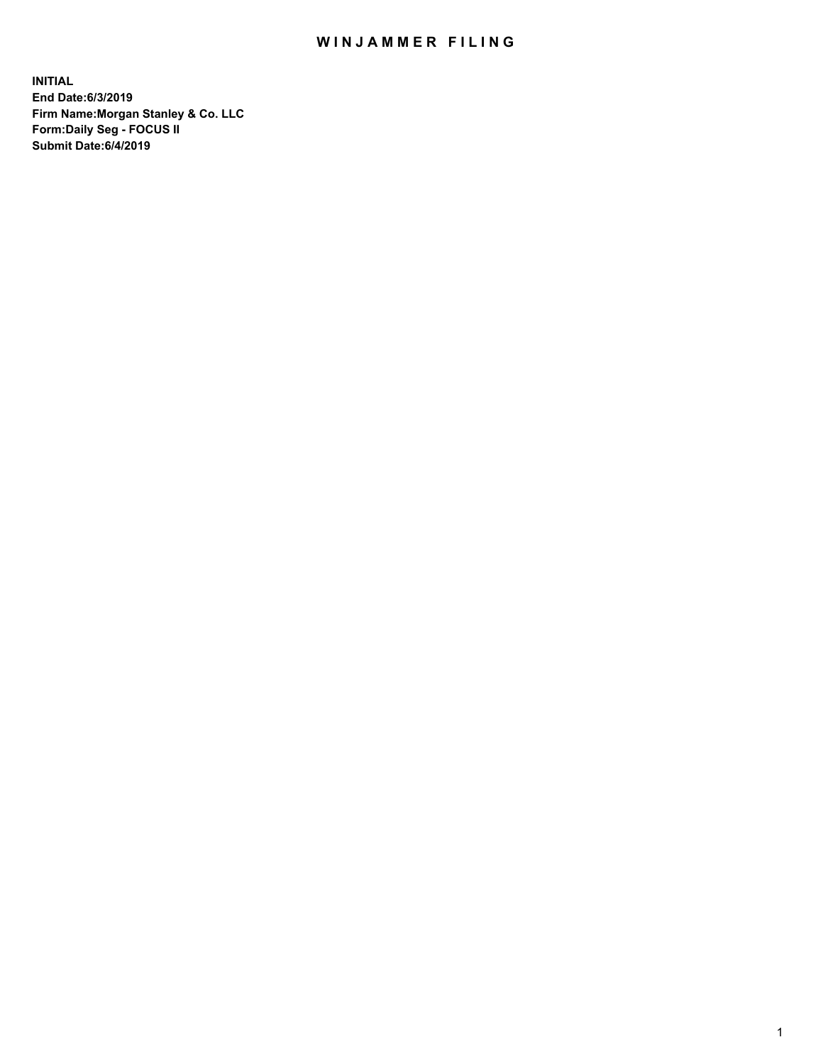## WIN JAMMER FILING

**INITIAL End Date:6/3/2019 Firm Name:Morgan Stanley & Co. LLC Form:Daily Seg - FOCUS II Submit Date:6/4/2019**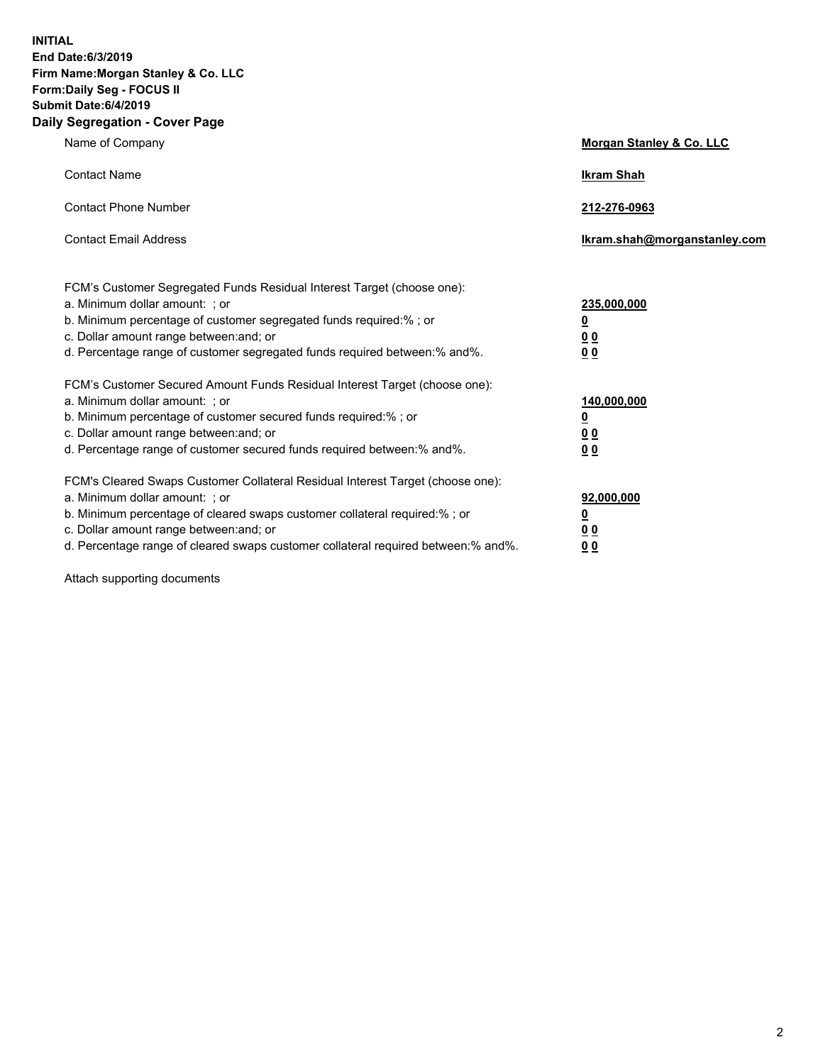**INITIAL End Date:6/3/2019 Firm Name:Morgan Stanley & Co. LLC Form:Daily Seg - FOCUS II Submit Date:6/4/2019 Daily Segregation - Cover Page**

| Name of Company                                                                                                                                                                                                                                                                                                                | Morgan Stanley & Co. LLC                                    |
|--------------------------------------------------------------------------------------------------------------------------------------------------------------------------------------------------------------------------------------------------------------------------------------------------------------------------------|-------------------------------------------------------------|
| <b>Contact Name</b>                                                                                                                                                                                                                                                                                                            | <b>Ikram Shah</b>                                           |
| <b>Contact Phone Number</b>                                                                                                                                                                                                                                                                                                    | 212-276-0963                                                |
| <b>Contact Email Address</b>                                                                                                                                                                                                                                                                                                   | Ikram.shah@morganstanley.com                                |
| FCM's Customer Segregated Funds Residual Interest Target (choose one):<br>a. Minimum dollar amount: ; or<br>b. Minimum percentage of customer segregated funds required:% ; or<br>c. Dollar amount range between: and; or<br>d. Percentage range of customer segregated funds required between:% and%.                         | 235,000,000<br><u>0</u><br>0 <sub>0</sub><br>00             |
| FCM's Customer Secured Amount Funds Residual Interest Target (choose one):<br>a. Minimum dollar amount: ; or<br>b. Minimum percentage of customer secured funds required:% ; or<br>c. Dollar amount range between: and; or<br>d. Percentage range of customer secured funds required between:% and%.                           | 140,000,000<br><u>0</u><br>0 <sub>0</sub><br>0 <sub>0</sub> |
| FCM's Cleared Swaps Customer Collateral Residual Interest Target (choose one):<br>a. Minimum dollar amount: ; or<br>b. Minimum percentage of cleared swaps customer collateral required:% ; or<br>c. Dollar amount range between: and; or<br>d. Percentage range of cleared swaps customer collateral required between:% and%. | 92,000,000<br><u>0</u><br>0 Q<br>0 <sub>0</sub>             |

Attach supporting documents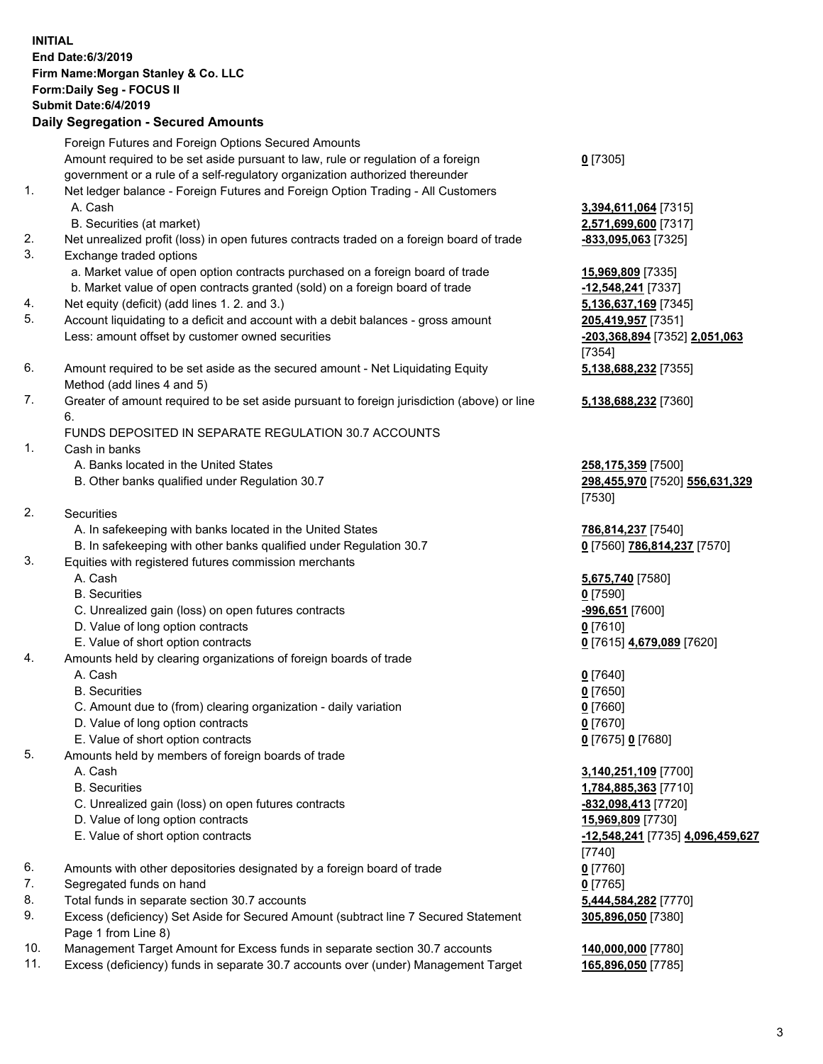|          | <b>INITIAL</b><br>End Date: 6/3/2019<br>Firm Name: Morgan Stanley & Co. LLC<br>Form: Daily Seg - FOCUS II<br>Submit Date: 6/4/2019<br><b>Daily Segregation - Secured Amounts</b> |                                                |
|----------|----------------------------------------------------------------------------------------------------------------------------------------------------------------------------------|------------------------------------------------|
|          | Foreign Futures and Foreign Options Secured Amounts                                                                                                                              |                                                |
|          | Amount required to be set aside pursuant to law, rule or regulation of a foreign                                                                                                 | $0$ [7305]                                     |
| 1.       | government or a rule of a self-regulatory organization authorized thereunder                                                                                                     |                                                |
|          | Net ledger balance - Foreign Futures and Foreign Option Trading - All Customers<br>A. Cash                                                                                       | 3,394,611,064 [7315]                           |
|          | B. Securities (at market)                                                                                                                                                        | 2,571,699,600 [7317]                           |
| 2.       | Net unrealized profit (loss) in open futures contracts traded on a foreign board of trade                                                                                        | -833,095,063 [7325]                            |
| 3.       | Exchange traded options                                                                                                                                                          |                                                |
|          | a. Market value of open option contracts purchased on a foreign board of trade                                                                                                   | 15,969,809 [7335]                              |
| 4.       | b. Market value of open contracts granted (sold) on a foreign board of trade<br>Net equity (deficit) (add lines 1.2. and 3.)                                                     | -12,548,241 [7337]<br>5,136,637,169 [7345]     |
| 5.       | Account liquidating to a deficit and account with a debit balances - gross amount                                                                                                | 205,419,957 [7351]                             |
|          | Less: amount offset by customer owned securities                                                                                                                                 | -203,368,894 [7352] 2,051,063                  |
|          |                                                                                                                                                                                  | [7354]                                         |
| 6.       | Amount required to be set aside as the secured amount - Net Liquidating Equity                                                                                                   | 5,138,688,232 [7355]                           |
| 7.       | Method (add lines 4 and 5)<br>Greater of amount required to be set aside pursuant to foreign jurisdiction (above) or line                                                        |                                                |
|          | 6.                                                                                                                                                                               | 5,138,688,232 [7360]                           |
|          | FUNDS DEPOSITED IN SEPARATE REGULATION 30.7 ACCOUNTS                                                                                                                             |                                                |
| 1.       | Cash in banks                                                                                                                                                                    |                                                |
|          | A. Banks located in the United States                                                                                                                                            | 258,175,359 [7500]                             |
|          | B. Other banks qualified under Regulation 30.7                                                                                                                                   | 298,455,970 [7520] 556,631,329<br>[7530]       |
| 2.       | Securities                                                                                                                                                                       |                                                |
|          | A. In safekeeping with banks located in the United States                                                                                                                        | 786,814,237 [7540]                             |
|          | B. In safekeeping with other banks qualified under Regulation 30.7                                                                                                               | 0 [7560] 786,814,237 [7570]                    |
| 3.       | Equities with registered futures commission merchants                                                                                                                            |                                                |
|          | A. Cash<br><b>B.</b> Securities                                                                                                                                                  | 5,675,740 [7580]                               |
|          | C. Unrealized gain (loss) on open futures contracts                                                                                                                              | $0$ [7590]<br>-996,651 [7600]                  |
|          | D. Value of long option contracts                                                                                                                                                | 0 [7610]                                       |
|          | E. Value of short option contracts                                                                                                                                               | 0 [7615] 4,679,089 [7620]                      |
| 4.       | Amounts held by clearing organizations of foreign boards of trade                                                                                                                |                                                |
|          | A. Cash                                                                                                                                                                          | $0$ [7640]                                     |
|          | <b>B.</b> Securities<br>C. Amount due to (from) clearing organization - daily variation                                                                                          | $0$ [7650]<br>$0$ [7660]                       |
|          | D. Value of long option contracts                                                                                                                                                | $0$ [7670]                                     |
|          | E. Value of short option contracts                                                                                                                                               | 0 [7675] 0 [7680]                              |
| 5.       | Amounts held by members of foreign boards of trade                                                                                                                               |                                                |
|          | A. Cash                                                                                                                                                                          | 3,140,251,109 [7700]                           |
|          | <b>B.</b> Securities                                                                                                                                                             | 1,784,885,363 [7710]                           |
|          | C. Unrealized gain (loss) on open futures contracts<br>D. Value of long option contracts                                                                                         | -832,098,413 [7720]<br>15,969,809 [7730]       |
|          | E. Value of short option contracts                                                                                                                                               | <u>-12,548,241</u> [7735] <u>4,096,459,627</u> |
|          |                                                                                                                                                                                  | [7740]                                         |
| 6.       | Amounts with other depositories designated by a foreign board of trade                                                                                                           | $0$ [7760]                                     |
| 7.       | Segregated funds on hand                                                                                                                                                         | $0$ [7765]                                     |
| 8.<br>9. | Total funds in separate section 30.7 accounts<br>Excess (deficiency) Set Aside for Secured Amount (subtract line 7 Secured Statement                                             | 5,444,584,282 [7770]                           |
|          | Page 1 from Line 8)                                                                                                                                                              | 305,896,050 [7380]                             |
| 10.      | Management Target Amount for Excess funds in separate section 30.7 accounts                                                                                                      | 140,000,000 [7780]                             |
| 11.      | Excess (deficiency) funds in separate 30.7 accounts over (under) Management Target                                                                                               | 165,896,050 [7785]                             |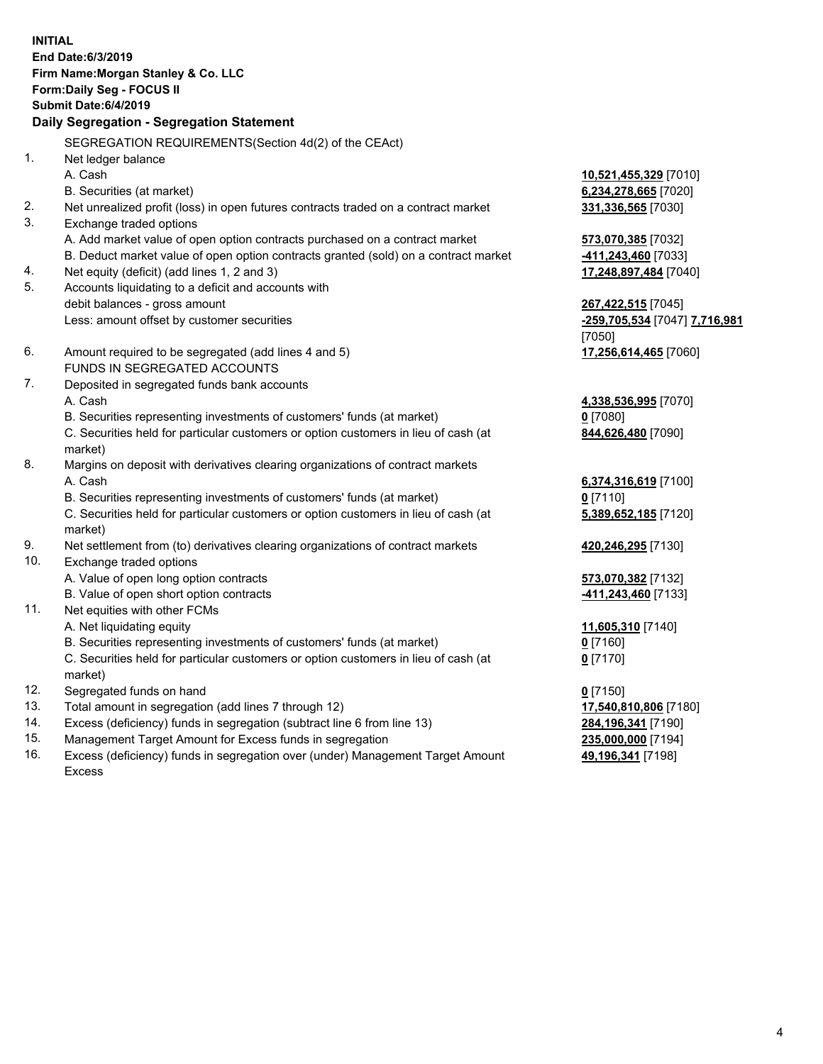**INITIAL End Date:6/3/2019 Firm Name:Morgan Stanley & Co. LLC Form:Daily Seg - FOCUS II Submit Date:6/4/2019 Daily Segregation - Segregation Statement** SEGREGATION REQUIREMENTS(Section 4d(2) of the CEAct) 1. Net ledger balance A. Cash **10,521,455,329** [7010] B. Securities (at market) **6,234,278,665** [7020] 2. Net unrealized profit (loss) in open futures contracts traded on a contract market **331,336,565** [7030] 3. Exchange traded options A. Add market value of open option contracts purchased on a contract market **573,070,385** [7032] B. Deduct market value of open option contracts granted (sold) on a contract market **-411,243,460** [7033] 4. Net equity (deficit) (add lines 1, 2 and 3) **17,248,897,484** [7040] 5. Accounts liquidating to a deficit and accounts with debit balances - gross amount **267,422,515** [7045] Less: amount offset by customer securities **-259,705,534** [7047] **7,716,981** [7050] 6. Amount required to be segregated (add lines 4 and 5) **17,256,614,465** [7060] FUNDS IN SEGREGATED ACCOUNTS 7. Deposited in segregated funds bank accounts A. Cash **4,338,536,995** [7070] B. Securities representing investments of customers' funds (at market) **0** [7080] C. Securities held for particular customers or option customers in lieu of cash (at market) **844,626,480** [7090] 8. Margins on deposit with derivatives clearing organizations of contract markets A. Cash **6,374,316,619** [7100] B. Securities representing investments of customers' funds (at market) **0** [7110] C. Securities held for particular customers or option customers in lieu of cash (at market) **5,389,652,185** [7120] 9. Net settlement from (to) derivatives clearing organizations of contract markets **420,246,295** [7130] 10. Exchange traded options A. Value of open long option contracts **573,070,382** [7132] B. Value of open short option contracts **-411,243,460** [7133] 11. Net equities with other FCMs A. Net liquidating equity **11,605,310** [7140] B. Securities representing investments of customers' funds (at market) **0** [7160] C. Securities held for particular customers or option customers in lieu of cash (at market) **0** [7170] 12. Segregated funds on hand **0** [7150] 13. Total amount in segregation (add lines 7 through 12) **17,540,810,806** [7180] 14. Excess (deficiency) funds in segregation (subtract line 6 from line 13) **284,196,341** [7190]

- 15. Management Target Amount for Excess funds in segregation **235,000,000** [7194]
- 16. Excess (deficiency) funds in segregation over (under) Management Target Amount Excess

**49,196,341** [7198]